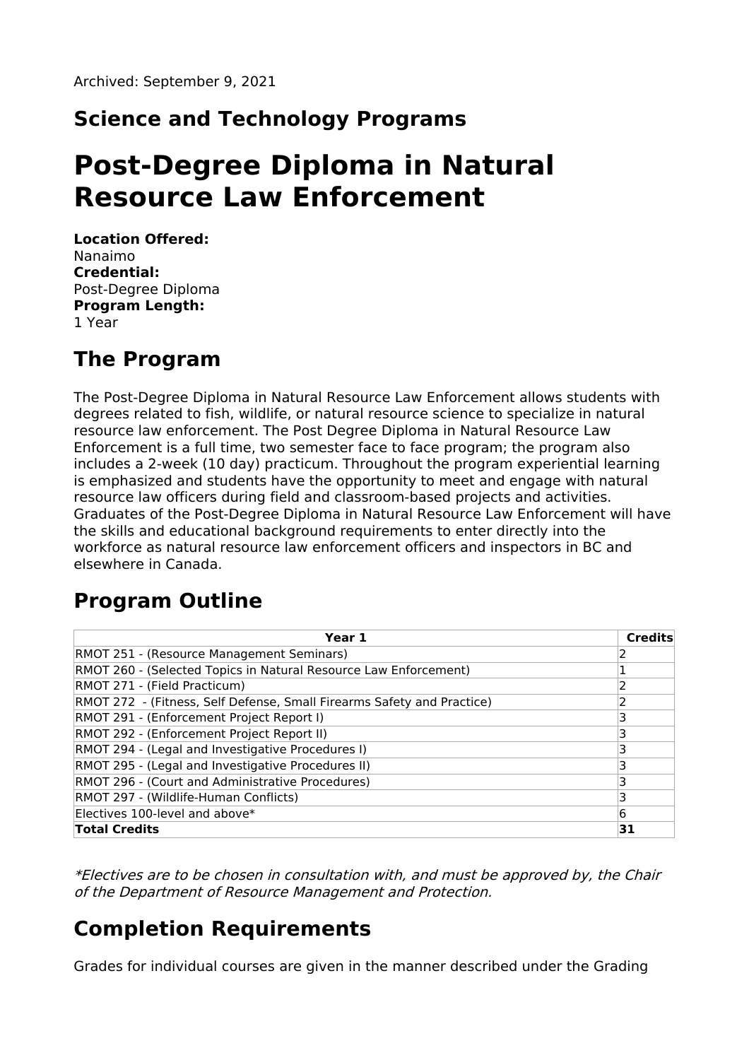## **Science and Technology Programs**

# **Post-Degree Diploma in Natural Resource Law Enforcement**

**Location Offered:** Nanaimo **Credential:** Post-Degree Diploma **Program Length:** 1 Year

#### **The Program**

The Post-Degree Diploma in Natural Resource Law Enforcement allows students with degrees related to fish, wildlife, or natural resource science to specialize in natural resource law enforcement. The Post Degree Diploma in Natural Resource Law Enforcement is a full time, two semester face to face program; the program also includes a 2-week (10 day) practicum. Throughout the program experiential learning is emphasized and students have the opportunity to meet and engage with natural resource law officers during field and classroom-based projects and activities. Graduates of the Post-Degree Diploma in Natural Resource Law Enforcement will have the skills and educational background requirements to enter directly into the workforce as natural resource law enforcement officers and inspectors in BC and elsewhere in Canada.

# **Program Outline**

| Year 1                                                                 | <b>Credits</b> |
|------------------------------------------------------------------------|----------------|
| RMOT 251 - (Resource Management Seminars)                              |                |
| RMOT 260 - (Selected Topics in Natural Resource Law Enforcement)       |                |
| RMOT 271 - (Field Practicum)                                           |                |
| RMOT 272 - (Fitness, Self Defense, Small Firearms Safety and Practice) |                |
| RMOT 291 - (Enforcement Project Report I)                              | ٦              |
| RMOT 292 - (Enforcement Project Report II)                             |                |
| RMOT 294 - (Legal and Investigative Procedures I)                      |                |
| RMOT 295 - (Legal and Investigative Procedures II)                     |                |
| RMOT 296 - (Court and Administrative Procedures)                       | ٦              |
| RMOT 297 - (Wildlife-Human Conflicts)                                  | 3              |
| Electives 100-level and above*                                         | 6              |
| <b>Total Credits</b>                                                   | 31             |

\*Electives are to be chosen in consultation with, and must be approved by, the Chair of the Department of Resource Management and Protection.

#### **Completion Requirements**

Grades for individual courses are given in the manner described under the Grading